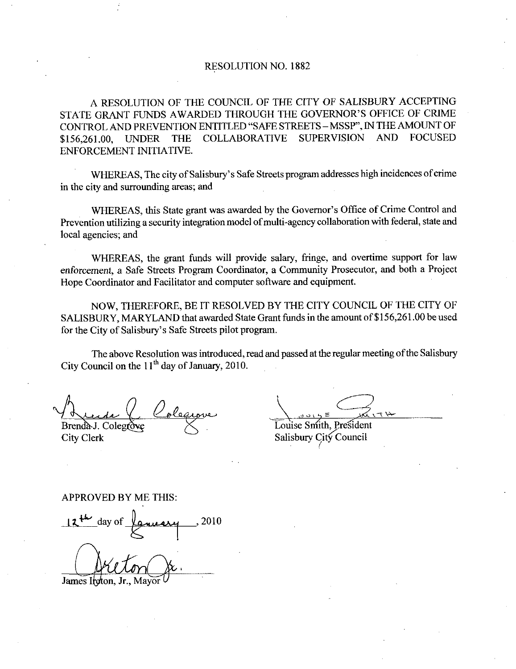## RESOLUTION NO. 1882

A RESOLUTION OF THE COUNCIL OF THE CITY OF SALISBURY ACCEPTING RESOLUTION NO. 1882<br>A RESOLUTION OF THE COUNCIL OF THE CITY OF SALISBURY ACCEPTING<br>STATE GRANT FUNDS AWARDED THROUGH THE GOVERNOR'S OFFICE OF CRIME<br>CONTROL AND PREVENTION ENTITLED "SAFE STREETS – MSSP", IN THE AMOUNT OF<br>\$1 CONTROL AND PREVENTION ENTITLED "SAFE STREETS – MSSP", IN THE AMOUNT OF<br>\$156,261.00. UNDER THE COLLABORATIVE SUPERVISION AND FOCUSED STATE GRANT FUNDS AWARDED THROUGH THE GOVERNOR'S OFFICE OF CRIME<br>CONTROL AND PREVENTION ENTITLED "SAFE STREETS – MSSP", IN THE AMOUNT OF<br>\$156,261.00, UNDER THE COLLABORATIVE SUPERVISION AND FOCUSED<br>ENFORCEMENT INITIATIVE. ENFORCEMENT INITIATIVE CORANT FUNDS AWARDED TI<br>ROL AND PREVENTION ENTITL<br>51.00, UNDER THE COLLA<br>RCEMENT INITIATIVE.<br>WHEREAS, The city of Salisbury's<br>ity and surrounding areas; and

Safe Streets program addresses high incidences of crime in the city and surrounding areas; and

ENFORCEMENT INITIATIVE.<br>
WHEREAS, The city of Salisbury's Safe Streets program addresses high incidences of crime<br>
in the city and surrounding areas; and<br>
WHEREAS, this State grant was awarded by the Governor's Office of C local agencies; and

WHEREAS, the grant funds will provide salary, fringe, and overtime support for law enforcement, a Safe Streets Program Coordinator, a Community Prosecutor, and both a Project Hope Coordinator and Facilitator and computer software and equipment.

NOW THEREFORE BE IT RESOLVED BY THE CITY COUNCIL OF THE CITY OF SALISBURY, MARYLAND that awarded State Grant funds in the amount of \$156,261.00 be used enforcement, a Safe Stree<br>Hope Coordinator and Fa<br>NOW, THEREFC<br>SALISBURY, MARYLA<br>for the City of Salisbury's<br>The above Resolut Safe Streets pilot program

The above Resolution was introduced, read and passed at the regular meeting of the Salisbury City Council on the  $11<sup>th</sup>$  day of January, 2010.

Brenda J. Colegrove

City Clerk

Louise Smith, President<br>Salisbury City Council

Salisbury City<br>Couise Smith, Presiden<br>Salisbury City Council

## APPROVED BY ME THIS

 $2^{4k}$  day of  $\ell$  and  $\ell$  2010

James Itgton, Jr., Mayor